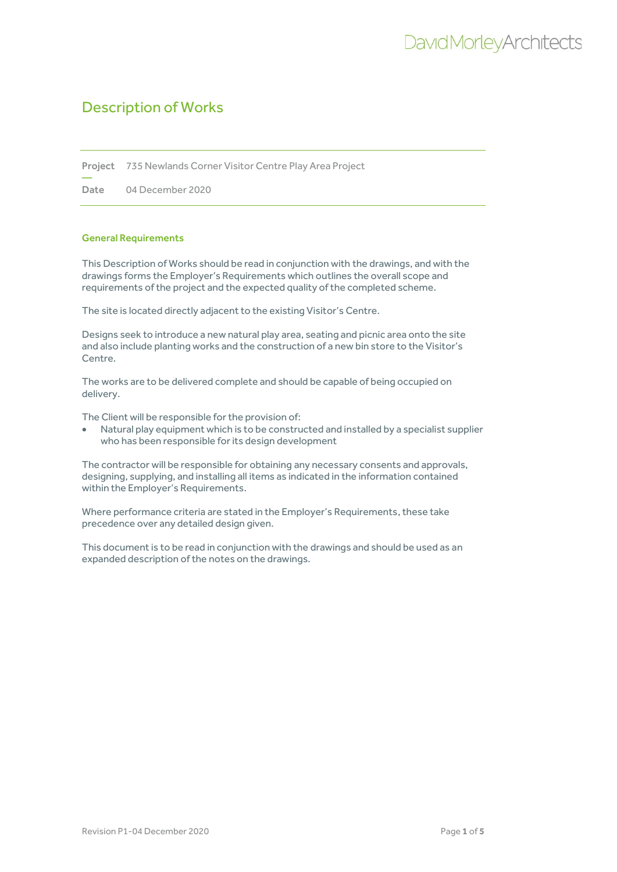Project 735 Newlands Corner Visitor Centre Play Area Project

Date 04 December 2020

### General Requirements

—

This Description of Works should be read in conjunction with the drawings, and with the drawings forms the Employer's Requirements which outlines the overall scope and requirements of the project and the expected quality of the completed scheme.

The site is located directly adjacent to the existing Visitor's Centre.

Designs seek to introduce a new natural play area, seating and picnic area onto the site and also include planting works and the construction of a new bin store to the Visitor's Centre.

The works are to be delivered complete and should be capable of being occupied on delivery.

The Client will be responsible for the provision of:

• Natural play equipment which is to be constructed and installed by a specialist supplier who has been responsible for its design development

The contractor will be responsible for obtaining any necessary consents and approvals, designing, supplying, and installing all items as indicated in the information contained within the Employer's Requirements.

Where performance criteria are stated in the Employer's Requirements, these take precedence over any detailed design given.

This document is to be read in conjunction with the drawings and should be used as an expanded description of the notes on the drawings.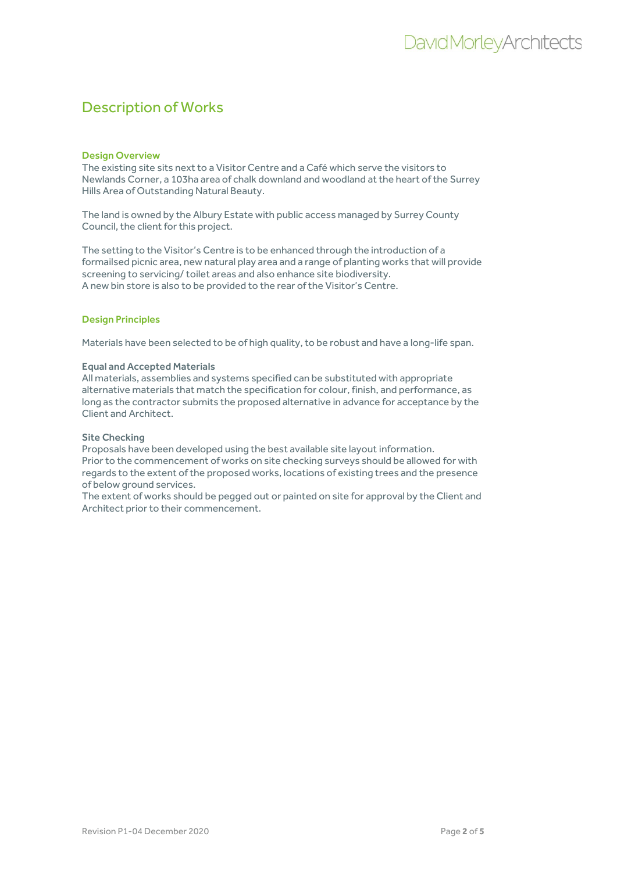### Design Overview

The existing site sits next to a Visitor Centre and a Café which serve the visitors to Newlands Corner, a 103ha area of chalk downland and woodland at the heart of the Surrey Hills Area of Outstanding Natural Beauty.

The land is owned by the Albury Estate with public access managed by Surrey County Council, the client for this project.

The setting to the Visitor's Centre is to be enhanced through the introduction of a formailsed picnic area, new natural play area and a range of planting works that will provide screening to servicing/ toilet areas and also enhance site biodiversity. A new bin store is also to be provided to the rear of the Visitor's Centre.

## Design Principles

Materials have been selected to be of high quality, to be robust and have a long-life span.

#### Equal and Accepted Materials

All materials, assemblies and systems specified can be substituted with appropriate alternative materials that match the specification for colour, finish, and performance, as long as the contractor submits the proposed alternative in advance for acceptance by the Client and Architect.

#### Site Checking

Proposals have been developed using the best available site layout information. Prior to the commencement of works on site checking surveys should be allowed for with regards to the extent of the proposed works, locations of existing trees and the presence of below ground services.

The extent of works should be pegged out or painted on site for approval by the Client and Architect prior to their commencement.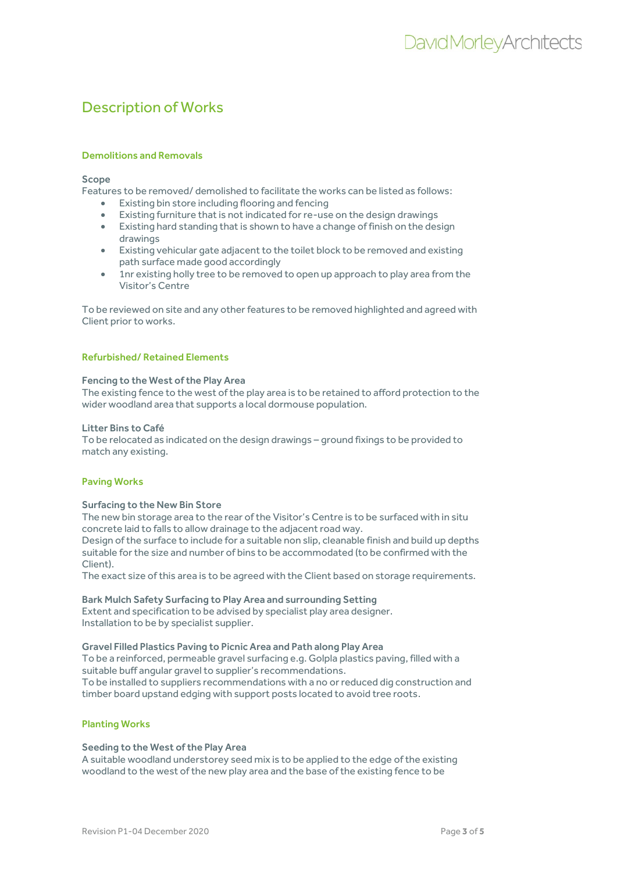## Demolitions and Removals

Scope

Features to be removed/ demolished to facilitate the works can be listed as follows:

- Existing bin store including flooring and fencing
- Existing furniture that is not indicated for re-use on the design drawings
- Existing hard standing that is shown to have a change of finish on the design drawings
- Existing vehicular gate adjacent to the toilet block to be removed and existing path surface made good accordingly
- 1nr existing holly tree to be removed to open up approach to play area from the Visitor's Centre

To be reviewed on site and any other features to be removed highlighted and agreed with Client prior to works.

### Refurbished/ Retained Elements

### Fencing to the West of the Play Area

The existing fence to the west of the play area is to be retained to afford protection to the wider woodland area that supports a local dormouse population.

### Litter Bins to Café

To be relocated as indicated on the design drawings – ground fixings to be provided to match any existing.

## Paving Works

#### Surfacing to the New Bin Store

The new bin storage area to the rear of the Visitor's Centre is to be surfaced with in situ concrete laid to falls to allow drainage to the adjacent road way.

Design of the surface to include for a suitable non slip, cleanable finish and build up depths suitable for the size and number of bins to be accommodated (to be confirmed with the Client).

The exact size of this area is to be agreed with the Client based on storage requirements.

## Bark Mulch Safety Surfacing to Play Area and surrounding Setting

Extent and specification to be advised by specialist play area designer. Installation to be by specialist supplier.

#### Gravel Filled Plastics Paving to Picnic Area and Path along Play Area

To be a reinforced, permeable gravel surfacing e.g. Golpla plastics paving, filled with a suitable buff angular gravel to supplier's recommendations. To be installed to suppliers recommendations with a no or reduced dig construction and timber board upstand edging with support posts located to avoid tree roots.

## Planting Works

#### Seeding to the West of the Play Area

A suitable woodland understorey seed mix is to be applied to the edge of the existing woodland to the west of the new play area and the base of the existing fence to be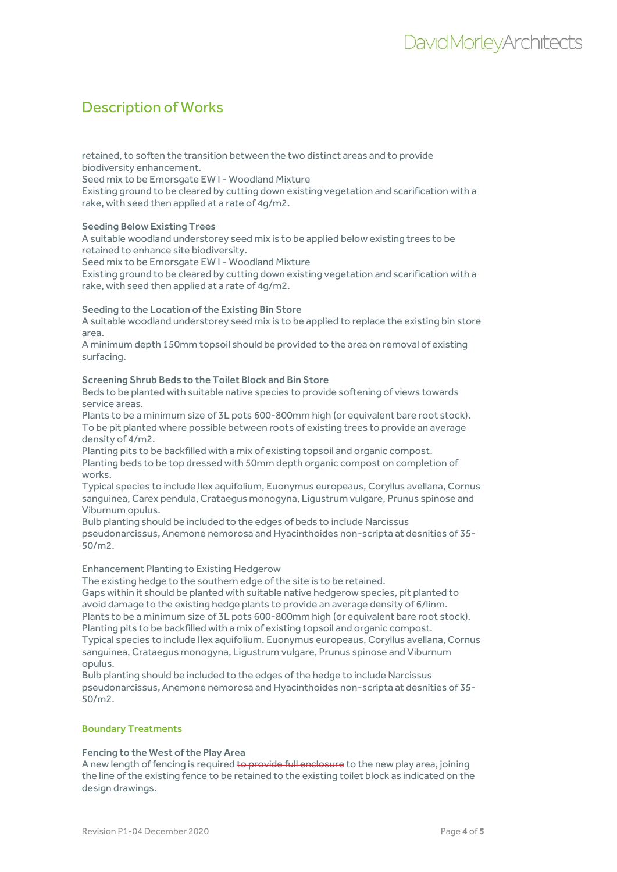retained, to soften the transition between the two distinct areas and to provide biodiversity enhancement.

Seed mix to be Emorsgate EW I - Woodland Mixture

Existing ground to be cleared by cutting down existing vegetation and scarification with a rake, with seed then applied at a rate of 4g/m2.

## Seeding Below Existing Trees

A suitable woodland understorey seed mix is to be applied below existing trees to be retained to enhance site biodiversity.

Seed mix to be Emorsgate EW I - Woodland Mixture

Existing ground to be cleared by cutting down existing vegetation and scarification with a rake, with seed then applied at a rate of 4g/m2.

### Seeding to the Location of the Existing Bin Store

A suitable woodland understorey seed mix is to be applied to replace the existing bin store area.

A minimum depth 150mm topsoil should be provided to the area on removal of existing surfacing.

### Screening Shrub Beds to the Toilet Block and Bin Store

Beds to be planted with suitable native species to provide softening of views towards service areas.

Plants to be a minimum size of 3L pots 600-800mm high (or equivalent bare root stock). To be pit planted where possible between roots of existing trees to provide an average density of 4/m2.

Planting pits to be backfilled with a mix of existing topsoil and organic compost. Planting beds to be top dressed with 50mm depth organic compost on completion of works.

Typical species to include Ilex aquifolium, Euonymus europeaus, Coryllus avellana, Cornus sanguinea, Carex pendula, Crataegus monogyna, Ligustrum vulgare, Prunus spinose and Viburnum opulus.

Bulb planting should be included to the edges of beds to include Narcissus pseudonarcissus, Anemone nemorosa and Hyacinthoides non-scripta at desnities of 35- 50/m2.

## Enhancement Planting to Existing Hedgerow

The existing hedge to the southern edge of the site is to be retained.

Gaps within it should be planted with suitable native hedgerow species, pit planted to avoid damage to the existing hedge plants to provide an average density of 6/linm. Plants to be a minimum size of 3L pots 600-800mm high (or equivalent bare root stock). Planting pits to be backfilled with a mix of existing topsoil and organic compost.

Typical species to include Ilex aquifolium, Euonymus europeaus, Coryllus avellana, Cornus sanguinea, Crataegus monogyna, Ligustrum vulgare, Prunus spinose and Viburnum opulus.

Bulb planting should be included to the edges of the hedge to include Narcissus pseudonarcissus, Anemone nemorosa and Hyacinthoides non-scripta at desnities of 35- 50/m2.

## Boundary Treatments

## Fencing to the West of the Play Area

A new length of fencing is required to provide full enclosure to the new play area, joining the line of the existing fence to be retained to the existing toilet block as indicated on the design drawings.